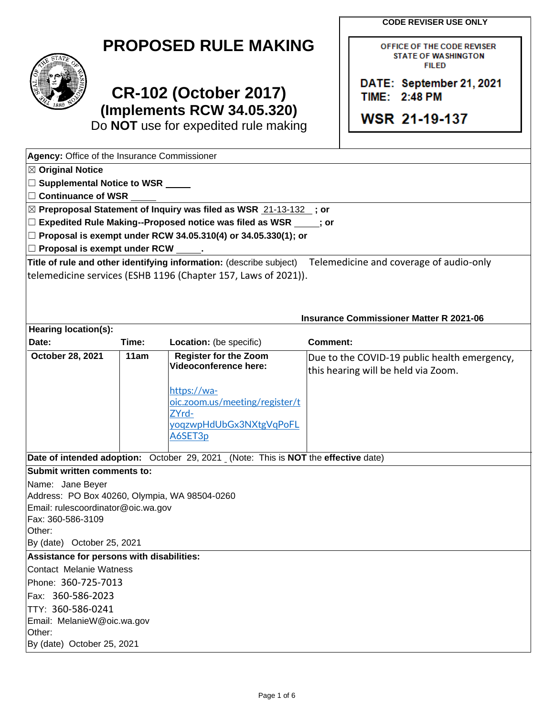**CODE REVISER USE ONLY** 

OFFICE OF THE CODE REVISER STATE OF WASHINGTON<br>FILED

DATE: September 21, 2021<br>TIME: 2:48 PM

|  | <b>PROPOSED RULE MAKING</b> |
|--|-----------------------------|
|--|-----------------------------|



# TIME: 2:48 PM<br>
(Implements RCW 34 05 320) **CR-102 (October 2017)** TIME: 2:48 PM **Examplements RCW 34.05.320)**<br>
Do NOT use for expedited rule making<br> **WSR 21-19-137**

Do **NOT** use for expedited rule making

| Agency: Office of the Insurance Commissioner  |       |                                                                                    |                                                                                                             |  |  |
|-----------------------------------------------|-------|------------------------------------------------------------------------------------|-------------------------------------------------------------------------------------------------------------|--|--|
| $\boxtimes$ Original Notice                   |       |                                                                                    |                                                                                                             |  |  |
| $\Box$ Supplemental Notice to WSR $\_\_$      |       |                                                                                    |                                                                                                             |  |  |
| $\Box$ Continuance of WSR                     |       |                                                                                    |                                                                                                             |  |  |
|                                               |       | ⊠ Preproposal Statement of Inquiry was filed as WSR 21-13-132 ; or                 |                                                                                                             |  |  |
|                                               |       | $\Box$ Expedited Rule Making--Proposed notice was filed as WSR $\Box$ ; or         |                                                                                                             |  |  |
|                                               |       | $□$ Proposal is exempt under RCW 34.05.310(4) or 34.05.330(1); or                  |                                                                                                             |  |  |
| $\Box$ Proposal is exempt under RCW $\_$      |       |                                                                                    |                                                                                                             |  |  |
|                                               |       |                                                                                    | Title of rule and other identifying information: (describe subject) Telemedicine and coverage of audio-only |  |  |
|                                               |       | telemedicine services (ESHB 1196 (Chapter 157, Laws of 2021)).                     |                                                                                                             |  |  |
|                                               |       |                                                                                    |                                                                                                             |  |  |
|                                               |       |                                                                                    |                                                                                                             |  |  |
|                                               |       |                                                                                    | <b>Insurance Commissioner Matter R 2021-06</b>                                                              |  |  |
| <b>Hearing location(s):</b>                   |       |                                                                                    |                                                                                                             |  |  |
| Date:                                         | Time: | Location: (be specific)                                                            | <b>Comment:</b>                                                                                             |  |  |
| October 28, 2021                              | 11am  | <b>Register for the Zoom</b>                                                       | Due to the COVID-19 public health emergency,                                                                |  |  |
|                                               |       | Videoconference here:                                                              | this hearing will be held via Zoom.                                                                         |  |  |
|                                               |       | https://wa-                                                                        |                                                                                                             |  |  |
|                                               |       | oic.zoom.us/meeting/register/t                                                     |                                                                                                             |  |  |
|                                               |       | ZYrd-                                                                              |                                                                                                             |  |  |
|                                               |       | yoqzwpHdUbGx3NXtgVqPoFL                                                            |                                                                                                             |  |  |
|                                               |       | A6SET3p                                                                            |                                                                                                             |  |  |
|                                               |       | Date of intended adoption: October 29, 2021 (Note: This is NOT the effective date) |                                                                                                             |  |  |
| Submit written comments to:                   |       |                                                                                    |                                                                                                             |  |  |
| Name: Jane Beyer                              |       |                                                                                    |                                                                                                             |  |  |
| Address: PO Box 40260, Olympia, WA 98504-0260 |       |                                                                                    |                                                                                                             |  |  |
| Email: rulescoordinator@oic.wa.gov            |       |                                                                                    |                                                                                                             |  |  |
| Fax: 360-586-3109                             |       |                                                                                    |                                                                                                             |  |  |
| Other:                                        |       |                                                                                    |                                                                                                             |  |  |
| By (date) October 25, 2021                    |       |                                                                                    |                                                                                                             |  |  |
| Assistance for persons with disabilities:     |       |                                                                                    |                                                                                                             |  |  |
| Contact Melanie Watness                       |       |                                                                                    |                                                                                                             |  |  |
| Phone: 360-725-7013                           |       |                                                                                    |                                                                                                             |  |  |
| Fax: 360-586-2023                             |       |                                                                                    |                                                                                                             |  |  |
| TTY: 360-586-0241                             |       |                                                                                    |                                                                                                             |  |  |
| Email: MelanieW@oic.wa.gov                    |       |                                                                                    |                                                                                                             |  |  |
| Other:<br>By (date) October 25, 2021          |       |                                                                                    |                                                                                                             |  |  |
|                                               |       |                                                                                    |                                                                                                             |  |  |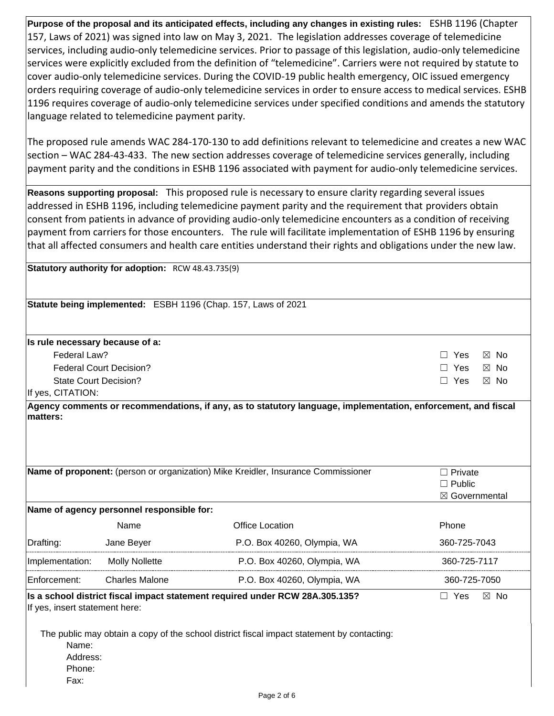**Purpose of the proposal and its anticipated effects, including any changes in existing rules:** ESHB 1196 (Chapter 157, Laws of 2021) was signed into law on May 3, 2021. The legislation addresses coverage of telemedicine services, including audio-only telemedicine services. Prior to passage of this legislation, audio-only telemedicine services were explicitly excluded from the definition of "telemedicine". Carriers were not required by statute to cover audio-only telemedicine services. During the COVID-19 public health emergency, OIC issued emergency orders requiring coverage of audio-only telemedicine services in order to ensure access to medical services. ESHB 1196 requires coverage of audio-only telemedicine services under specified conditions and amends the statutory language related to telemedicine payment parity.

 The proposed rule amends WAC 284-170-130 to add definitions relevant to telemedicine and creates a new WAC section – WAC 284-43-433. The new section addresses coverage of telemedicine services generally, including payment parity and the conditions in ESHB 1196 associated with payment for audio-only telemedicine services.

 **Reasons supporting proposal:** This proposed rule is necessary to ensure clarity regarding several issues addressed in ESHB 1196, including telemedicine payment parity and the requirement that providers obtain consent from patients in advance of providing audio-only telemedicine encounters as a condition of receiving  payment from carriers for those encounters. The rule will facilitate implementation of ESHB 1196 by ensuring that all affected consumers and health care entities understand their rights and obligations under the new law.

**Statutory authority for adoption:** RCW 48.43.735(9)

| Statute being implemented: ESBH 1196 (Chap. 157, Laws of 2021                                     |                                           |                             |                            |  |  |
|---------------------------------------------------------------------------------------------------|-------------------------------------------|-----------------------------|----------------------------|--|--|
|                                                                                                   |                                           |                             |                            |  |  |
| Is rule necessary because of a:                                                                   |                                           |                             |                            |  |  |
| Federal Law?                                                                                      |                                           |                             | Yes<br>$\boxtimes$ No<br>П |  |  |
|                                                                                                   | <b>Federal Court Decision?</b>            |                             | Yes<br>$\boxtimes$ No<br>п |  |  |
| State Court Decision?                                                                             |                                           |                             | Yes<br>$\boxtimes$ No<br>П |  |  |
| If yes, CITATION:                                                                                 |                                           |                             |                            |  |  |
| Name of proponent: (person or organization) Mike Kreidler, Insurance Commissioner<br>Private<br>П |                                           |                             |                            |  |  |
|                                                                                                   |                                           |                             | $\Box$ Public              |  |  |
|                                                                                                   | Name of agency personnel responsible for: |                             | $\boxtimes$ Governmental   |  |  |
|                                                                                                   | Name                                      | <b>Office Location</b>      | Phone                      |  |  |
| Drafting:                                                                                         | Jane Beyer                                | P.O. Box 40260, Olympia, WA | 360-725-7043               |  |  |
| Implementation:                                                                                   | <b>Molly Nollette</b>                     | P.O. Box 40260, Olympia, WA | 360-725-7117               |  |  |
| Enforcement:                                                                                      | <b>Charles Malone</b>                     | P.O. Box 40260, Olympia, WA | 360-725-7050               |  |  |

The public may obtain a copy of the school district fiscal impact statement by contacting: Name: Address:

Phone:

If yes, insert statement here:

Fax:

**Is a school district fiscal impact statement required under RCW 28A.305.135?** ☐ Yes ☒ No

 $\Box$  Yes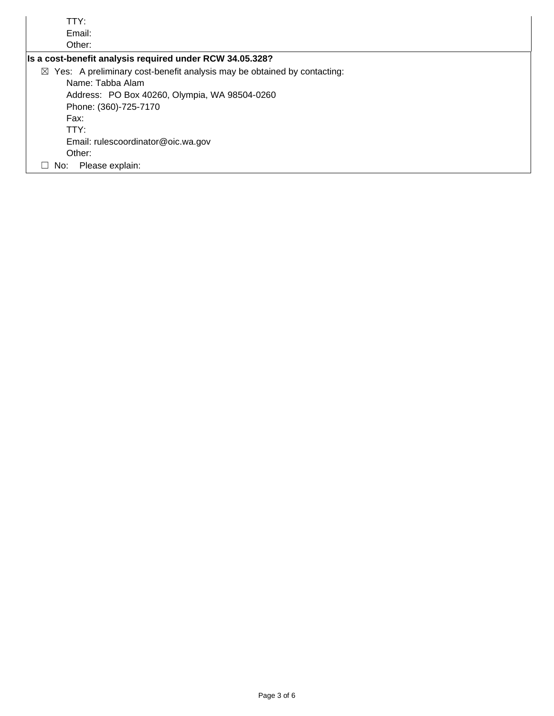| TTY:                                                                                |
|-------------------------------------------------------------------------------------|
| Email:                                                                              |
| Other:                                                                              |
| Is a cost-benefit analysis required under RCW 34.05.328?                            |
| $\boxtimes$ Yes: A preliminary cost-benefit analysis may be obtained by contacting: |
| Name: Tabba Alam                                                                    |
| Address: PO Box 40260, Olympia, WA 98504-0260                                       |
| Phone: (360)-725-7170                                                               |
| Fax:                                                                                |
| TTY:                                                                                |
| Email: rulescoordinator@oic.wa.gov                                                  |
| Other:                                                                              |
| Please explain:<br>No:<br>ப                                                         |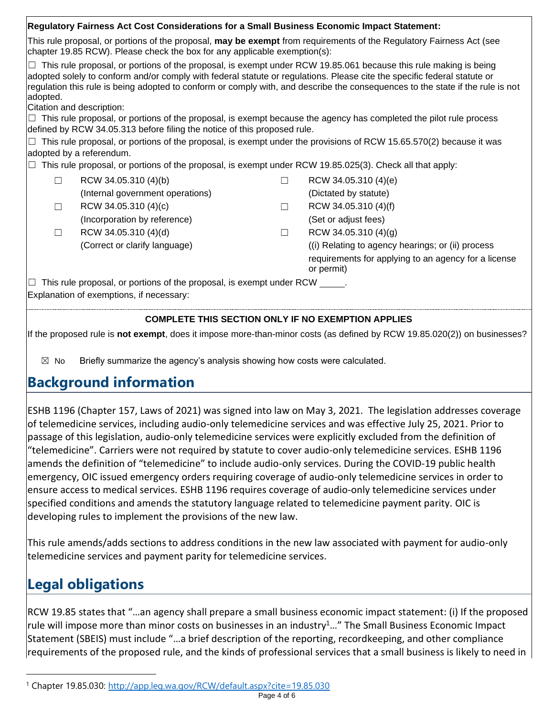| Regulatory Fairness Act Cost Considerations for a Small Business Economic Impact Statement:                                                                                                       |                                                                                                                                             |        |                                                                                                                                                                                                                                                                                                                                                                                                                                                                                                                    |  |  |
|---------------------------------------------------------------------------------------------------------------------------------------------------------------------------------------------------|---------------------------------------------------------------------------------------------------------------------------------------------|--------|--------------------------------------------------------------------------------------------------------------------------------------------------------------------------------------------------------------------------------------------------------------------------------------------------------------------------------------------------------------------------------------------------------------------------------------------------------------------------------------------------------------------|--|--|
| This rule proposal, or portions of the proposal, may be exempt from requirements of the Regulatory Fairness Act (see<br>chapter 19.85 RCW). Please check the box for any applicable exemption(s): |                                                                                                                                             |        |                                                                                                                                                                                                                                                                                                                                                                                                                                                                                                                    |  |  |
| adopted.                                                                                                                                                                                          | Citation and description:<br>defined by RCW 34.05.313 before filing the notice of this proposed rule.                                       |        | $\Box$ This rule proposal, or portions of the proposal, is exempt under RCW 19.85.061 because this rule making is being<br>adopted solely to conform and/or comply with federal statute or regulations. Please cite the specific federal statute or<br>regulation this rule is being adopted to conform or comply with, and describe the consequences to the state if the rule is not<br>$\Box$ This rule proposal, or portions of the proposal, is exempt because the agency has completed the pilot rule process |  |  |
|                                                                                                                                                                                                   |                                                                                                                                             |        | $\Box$ This rule proposal, or portions of the proposal, is exempt under the provisions of RCW 15.65.570(2) because it was                                                                                                                                                                                                                                                                                                                                                                                          |  |  |
|                                                                                                                                                                                                   | adopted by a referendum.<br>$\Box$ This rule proposal, or portions of the proposal, is exempt under RCW 19.85.025(3). Check all that apply: |        |                                                                                                                                                                                                                                                                                                                                                                                                                                                                                                                    |  |  |
| П                                                                                                                                                                                                 | RCW 34.05.310 (4)(b)                                                                                                                        | П      | RCW 34.05.310 (4)(e)                                                                                                                                                                                                                                                                                                                                                                                                                                                                                               |  |  |
|                                                                                                                                                                                                   | (Internal government operations)                                                                                                            |        | (Dictated by statute)                                                                                                                                                                                                                                                                                                                                                                                                                                                                                              |  |  |
| П                                                                                                                                                                                                 | RCW 34.05.310 (4)(c)                                                                                                                        | П      | RCW 34.05.310 (4)(f)                                                                                                                                                                                                                                                                                                                                                                                                                                                                                               |  |  |
|                                                                                                                                                                                                   | (Incorporation by reference)                                                                                                                |        | (Set or adjust fees)                                                                                                                                                                                                                                                                                                                                                                                                                                                                                               |  |  |
| П                                                                                                                                                                                                 | RCW 34.05.310 (4)(d)                                                                                                                        | $\Box$ | RCW 34.05.310 (4)(g)                                                                                                                                                                                                                                                                                                                                                                                                                                                                                               |  |  |
|                                                                                                                                                                                                   | (Correct or clarify language)                                                                                                               |        | (i) Relating to agency hearings; or (ii) process<br>requirements for applying to an agency for a license<br>or permit)                                                                                                                                                                                                                                                                                                                                                                                             |  |  |
| $\Box$ This rule proposal, or portions of the proposal, is exempt under RCW $\Box$ .                                                                                                              |                                                                                                                                             |        |                                                                                                                                                                                                                                                                                                                                                                                                                                                                                                                    |  |  |
| Explanation of exemptions, if necessary:                                                                                                                                                          |                                                                                                                                             |        |                                                                                                                                                                                                                                                                                                                                                                                                                                                                                                                    |  |  |
|                                                                                                                                                                                                   | <b>COMPLETE THIS SECTION ONLY IF NO EXEMPTION APPLIES</b>                                                                                   |        |                                                                                                                                                                                                                                                                                                                                                                                                                                                                                                                    |  |  |

If the proposed rule is **not exempt**, does it impose more-than-minor costs (as defined by RCW 19.85.020(2)) on businesses?

 $\boxtimes$  No Briefly summarize the agency's analysis showing how costs were calculated.

### **Background information**

 ESHB 1196 (Chapter 157, Laws of 2021) was signed into law on May 3, 2021. The legislation addresses coverage of telemedicine services, including audio-only telemedicine services and was effective July 25, 2021. Prior to passage of this legislation, audio-only telemedicine services were explicitly excluded from the definition of "telemedicine". Carriers were not required by statute to cover audio-only telemedicine services. ESHB 1196 amends the definition of "telemedicine" to include audio-only services. During the COVID-19 public health emergency, OIC issued emergency orders requiring coverage of audio-only telemedicine services in order to ensure access to medical services. ESHB 1196 requires coverage of audio-only telemedicine services under specified conditions and amends the statutory language related to telemedicine payment parity. OIC is developing rules to implement the provisions of the new law.

 This rule amends/adds sections to address conditions in the new law associated with payment for audio-only telemedicine services and payment parity for telemedicine services.

## **Legal obligations**

 RCW 19.85 states that "…an agency shall prepare a small business economic impact statement: (i) If the proposed rule will impose more than minor costs on businesses in an industry<sup>1</sup>..." The Small Business Economic Impact Statement (SBEIS) must include "…a brief description of the reporting, recordkeeping, and other compliance requirements of the proposed rule, and the kinds of professional services that a small business is likely to need in

<sup>1</sup> Chapter 19.85.030:<http://app.leg.wa.gov/RCW/default.aspx?cite=19.85.030>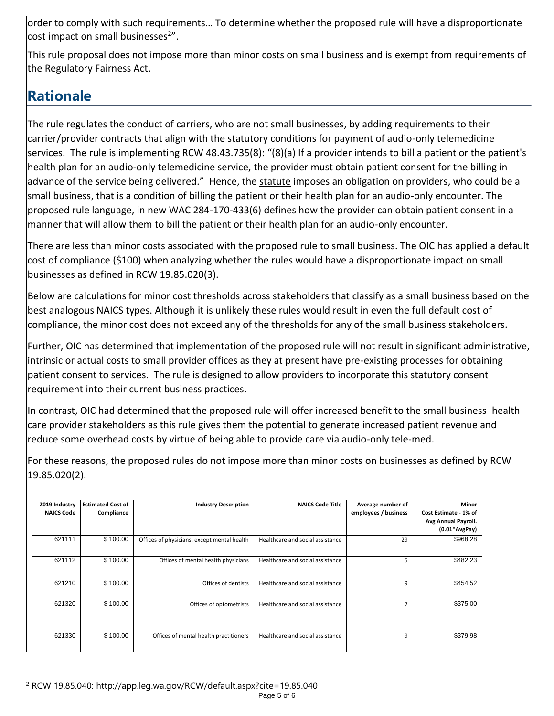order to comply with such requirements… To determine whether the proposed rule will have a disproportionate cost impact on small businesses<sup>2"</sup>.

 This rule proposal does not impose more than minor costs on small business and is exempt from requirements of the Regulatory Fairness Act.

# **Rationale**

 The rule regulates the conduct of carriers, who are not small businesses, by adding requirements to their carrier/provider contracts that align with the statutory conditions for payment of audio-only telemedicine services. The rule is implementing RCW 48.43.735(8): "(8)(a) If a provider intends to bill a patient or the patient's health plan for an audio-only telemedicine service, the provider must obtain patient consent for the billing in advance of the service being delivered." Hence, the statute imposes an obligation on providers, who could be a small business, that is a condition of billing the patient or their health plan for an audio-only encounter. The proposed rule language, in new WAC 284-170-433(6) defines how the provider can obtain patient consent in a manner that will allow them to bill the patient or their health plan for an audio-only encounter.

 There are less than minor costs associated with the proposed rule to small business. The OIC has applied a default cost of compliance (\$100) when analyzing whether the rules would have a disproportionate impact on small businesses as defined in RCW 19.85.020(3).

 Below are calculations for minor cost thresholds across stakeholders that classify as a small business based on the best analogous NAICS types. Although it is unlikely these rules would result in even the full default cost of compliance, the minor cost does not exceed any of the thresholds for any of the small business stakeholders.

 Further, OIC has determined that implementation of the proposed rule will not result in significant administrative, intrinsic or actual costs to small provider offices as they at present have pre-existing processes for obtaining patient consent to services. The rule is designed to allow providers to incorporate this statutory consent requirement into their current business practices.

 In contrast, OIC had determined that the proposed rule will offer increased benefit to the small business health care provider stakeholders as this rule gives them the potential to generate increased patient revenue and reduce some overhead costs by virtue of being able to provide care via audio-only tele-med.

 For these reasons, the proposed rules do not impose more than minor costs on businesses as defined by RCW 19.85.020(2).

| 2019 Industry     | <b>Estimated Cost of</b> | <b>Industry Description</b>                 | <b>NAICS Code Title</b>          | Average number of    | <b>Minor</b>          |
|-------------------|--------------------------|---------------------------------------------|----------------------------------|----------------------|-----------------------|
| <b>NAICS Code</b> | Compliance               |                                             |                                  | employees / business | Cost Estimate - 1% of |
|                   |                          |                                             |                                  |                      | Avg Annual Payroll.   |
|                   |                          |                                             |                                  |                      | $(0.01*AvgPay)$       |
| 621111            | \$100.00                 | Offices of physicians, except mental health | Healthcare and social assistance | 29                   | \$968.28              |
| 621112            | \$100.00                 | Offices of mental health physicians         | Healthcare and social assistance | 5                    | \$482.23              |
| 621210            | \$100.00                 | Offices of dentists                         | Healthcare and social assistance | 9                    | \$454.52              |
| 621320            | \$100.00                 | Offices of optometrists                     | Healthcare and social assistance | $\overline{7}$       | \$375.00              |
| 621330            | \$100.00                 | Offices of mental health practitioners      | Healthcare and social assistance | 9                    | \$379.98              |

<sup>2</sup> RCW 19.85.040:<http://app.leg.wa.gov/RCW/default.aspx?cite=19.85.040>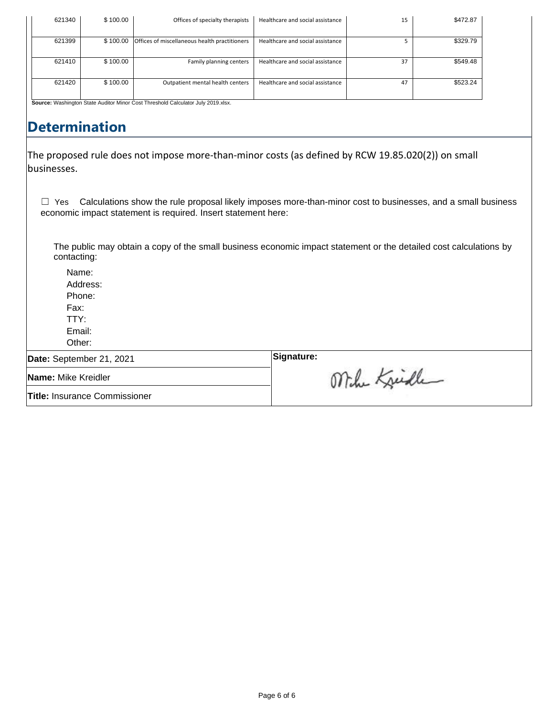| 621340 | \$100.00 | Offices of specialty therapists                                           | Healthcare and social assistance | 15 | \$472.87 |
|--------|----------|---------------------------------------------------------------------------|----------------------------------|----|----------|
| 621399 | \$100.00 | Offices of miscellaneous health practitioners                             | Healthcare and social assistance |    | \$329.79 |
| 621410 | \$100.00 | Family planning centers                                                   | Healthcare and social assistance | 37 | \$549.48 |
| 621420 | \$100.00 | Outpatient mental health centers                                          | Healthcare and social assistance | 47 | \$523.24 |
|        |          | Between Michigans Oran Audio Micro Oran Thurshald Octobers July 0040 ulay |                                  |    |          |

#### tor Minor Cost Threshold Calculator July 2019.xlsx.

### **Determination**

 The proposed rule does not impose more-than-minor costs (as defined by RCW 19.85.020(2)) on small businesses.

 $\Box$  Yes Calculations show the rule proposal likely imposes more-than-minor cost to businesses, and a small business economic impact statement is required. Insert statement here:

The public may obtain a copy of the small business economic impact statement or the detailed cost calculations by contacting:

Name: Address: Phone: Fax: TTY: Email:

Other:

**Date:** September 21, 2021 **Signature:** 

**Name:** Mike Kreidler

**Title:** Insurance Commissioner

Mihe Kristle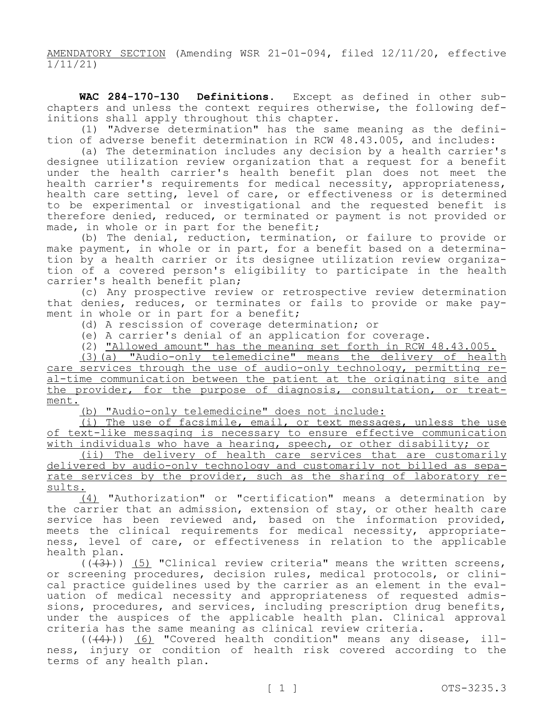AMENDATORY SECTION (Amending WSR 21-01-094, filed 12/11/20, effective 1/11/21)

 **WAC 284-170-130 Definitions.** Except as defined in other subchapters and unless the context requires otherwise, the following def-<br>initions shall apply throughout this chapter.<br>(1) "Adverse determination" has the same meaning as the defini-

tion of adverse benefit determination in RCW 48.43.005, and includes:

(a) The determination includes any decision by a health carrier's designee utilization review organization that a request for a benefit under the health carrier's health benefit plan does not meet the health carrier's requirements for medical necessity, appropriateness, health care setting, level of care, or effectiveness or is determined to be experimental or investigational and the requested benefit is therefore denied, reduced, or terminated or payment is not provided or made, in whole or in part for the benefit;

(b) The denial, reduction, termination, or failure to provide or make payment, in whole or in part, for a benefit based on a determina-<br>tion by a health carrier or its designee utilization review organiza-<br>tion of a covered person's eligibility to participate in the health carrier's health benefit plan;

(c) Any prospective review or retrospective review determination that denies, reduces, or terminates or fails to provide or make pay-<br>ment in whole or in part for a benefit;

(d) A rescission of coverage determination; or

(e) A carrier's denial of an application for coverage.

(2) "Allowed amount" has the meaning set forth in RCW 48.43.005.

(3)(a) "Audio-only telemedicine" means the delivery of health care services through the use of audio-only technology, permitting real-time communication between the patient at the originating site and the provider, for the purpose of diagnosis, consultation, or treat-<br>ment.

(b) "Audio-only telemedicine" does not include:

(i) The use of facsimile, email, or text messages, unless the use of text-like messaging is necessary to ensure effective communication with individuals who have a hearing, speech, or other disability; or

(ii) The delivery of health care services that are customarily<br>delivered by audio-only technology and customarily not billed as separate services by the provider, such as the sharing of laboratory re- sults.

(4) "Authorization" or "certification" means a determination by the carrier that an admission, extension of stay, or other health care service has been reviewed and, based on the information provided, meets the clinical requirements for medical necessity, appropriate-<br>ness, level of care, or effectiveness in relation to the applicable health plan.

 $((+3))$  (5) "Clinical review criteria" means the written screens, or screening procedures, decision rules, medical protocols, or clinical practice guidelines used by the carrier as an element in the evaluation of medical necessity and appropriateness of requested admissions, procedures, and services, including prescription drug benefits, under the auspices of the applicable health plan. Clinical approval criteria has the same meaning as clinical review criteria.

 $((+4))$  <u>(6)</u> "Covered ness, injury or condition terms of any health plan. health of cond health ition" risk means any disease, covered according to illthe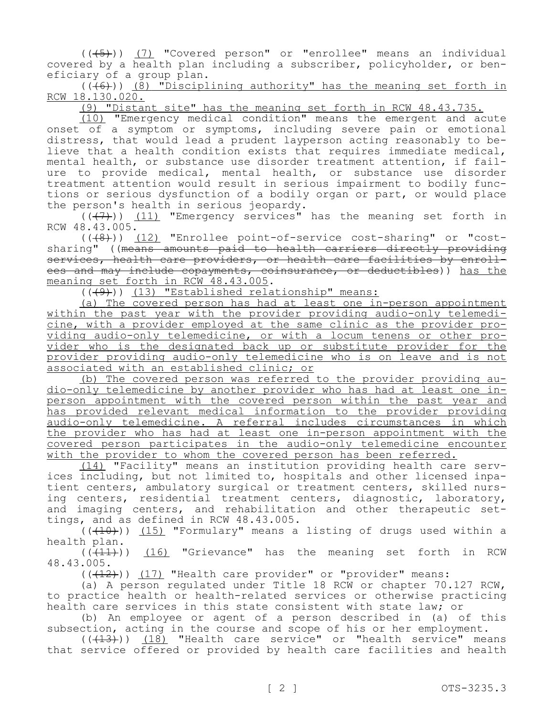$((+5))$  (7) "Covered person" or "enrollee" means an individual covered by a health plan including a subscriber, policyholder, or ben-<br>eficiary of a group plan.

 $((+6))$  (8) "Disciplining authority" has the meaning set forth in RCW 18.130.020.

(9) "Distant site" has the meaning set forth in RCW 48.43.735.

(10) "Emergency medical condition" means the emergent and acute onset of a symptom or symptoms, including severe pain or emotional<br>distress, that would lead a prudent lavperson acting reasonably to believe that a health condition exists that requires immediate medical, mental health, or substance use disorder treatment attention, if failure to provide medical, mental health, or substance use disorder<br>treatment attention would result in serious impairment to bodily functions or serious dysfunction of a bodily organ or part, or would place the person's health in serious jeopardy.

 $((+7))$  (11) "Emergency services" has the meaning set forth in RCW 48.43.005.

(((8))) (12) "Enrollee point-of-service cost-sharing" or "costmeaning set forth in RCW 48.43.005.<br>((<del>(9)</del>)) <u>(13) "Established relationship" means:</u> sharing" ((means amounts paid to health carriers directly providing<br>services, health care providers, or health care facilities by enrollees and may include copayments, coinsurance, or deductibles)) has the meaning set forth in RCW 48.43.005.

(a) The covered person has had at least one in-person appointment<br>within the past year with the provider providing audio-only telemedicine, with a provider employed at the same clinic as the provider pro-<br>viding audio-only telemedicine, or with a locum tenens or other pro-<br>vider who is the designated back up or substitute provider for the provider providing audio-only telemedicine who is on leave and is not associated with an established clinic; or<br>(b) The covered person was referred to the provider providing au-

dio-only telemedicine by another provider who has had at least one inperson appointment with the covered person within the past year and has provided relevant medical information to the provider providing audio-only telemedicine. A referral includes circumstances in which the provider who has had at least one in-person appointment with the covered person participates in the audio-only telemedicine encounter with the provider to whom the covered person has been referred.<br>(14) "Facility" means an institution providing health care serv-

ices including, but not limited to, hospitals and other licensed inpa-<br>tient centers, ambulatory surgical or treatment centers, skilled nurs-<br>ing centers, residential treatment centers, diagnostic, laboratory, and imaging centers, and rehabilitation and other therapeutic set-<br>tings, and as defined in RCW 48.43.005.

 $((+10))$   $(15)$  "Formulary" means a listing of drugs used within a health plan.

 $((+11))$   $(16)$  "Grievance" has the meaning set forth in RCW 48.43.005.

 $((+12))$  (17) "Health care provider" or "provider" means:

(a) A person regulated under Title 18 RCW or chapter 70.127 RCW, to practice health or health-related services or otherwise practicing health care services in this state consistent with state law; or

(b) An employee or agent of a person described in (a) of this subsection, acting in the course and scope of his or her employment.

 $((+13))$   $(18)$  "Health care service" or "health service" means that service offered or provided by health care facilities and health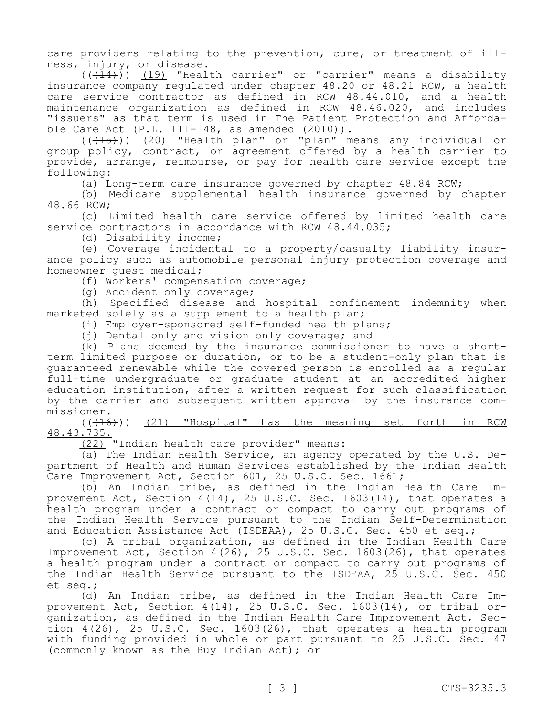care providers relating to the prevention, cure, or treatment of ill-<br>ness, injury, or disease.

 $((+14))$   $(19)$  "Health carrier" or "carrier" means a disability insurance company regulated under chapter 48.20 or 48.21 RCW, a health care service contractor as defined in RCW 48.44.010, and a health maintenance organization as defined in RCW 48.46.020, and includes "issuers" as that term is used in The Patient Protection and Afforda-<br>ble Care Act (P.L. 111-148, as amended (2010)).

 $((+15))$   $(20)$  "Health plan" or "plan" means any individual or group policy, contract, or agreement offered by a health carrier to provide, arrange, reimburse, or pay for health care service except the following:

(a) Long-term care insurance governed by chapter 48.84 RCW;

(b) Medicare supplemental health insurance governed by chapter 48.66 RCW;

(c) Limited health care service offered by limited health care service contractors in accordance with RCW 48.44.035;

(d) Disability income;

(e) Coverage incidental to a property/casualty liability insur- ance policy such as automobile personal injury protection coverage and homeowner guest medical;

(f) Workers' compensation coverage;

(g) Accident only coverage;

(h) Specified disease and hospital confinement indemnity when marketed solely as a supplement to a health plan;

(i) Employer-sponsored self-funded health plans;

(j) Dental only and vision only coverage; and

(k) Plans deemed by the insurance commissioner to have a shortterm limited purpose or duration, or to be a student-only plan that is guaranteed renewable while the covered person is enrolled as a regular full-time undergraduate or graduate student at an accredited higher education institution, after a written request for such classification by the carrier and subsequent written approval by the insurance com- missioner.

(((16))) (21) "Hospital" has the meaning set forth in RCW 48.43.735.

(22) "Indian health care provider" means:<br>(a) The Indian Health Service, an agency operated by the U.S. Department of Health and Human Services established by the Indian Health Care Improvement Act, Section 601, 25 U.S.C. Sec. 1661;<br>(b) An Indian tribe, as defined in the Indian Health Care Im-

provement Act, Section  $4(14)$ , 25 U.S.C. Sec. 1603(14), that operates a health program under a contract or compact to carry out programs of the Indian Health Service pursuant to the Indian Self-Determination and Education Assistance Act (ISDEAA), 25 U.S.C. Sec. 450 et seq.;

(c) A tribal organization, as defined in the Indian Health Care Improvement Act, Section 4(26), 25 U.S.C. Sec. 1603(26), that operates a health program under a contract or compact to carry out programs of the Indian Health Service pursuant to the ISDEAA, 25 U.S.C. Sec. 450 et seq.;

(d) An Indian tribe, as defined in the Indian Health Care Improvement Act, Section 4(14), 25 U.S.C. Sec. 1603(14), or tribal or-.<br>ganization, as defined in the Indian Health Care Improvement Act, Section  $4(26)$ , 25 U.S.C. Sec. 1603(26), that operates a health program with funding provided in whole or part pursuant to 25 U.S.C. Sec. 47 (commonly known as the Buy Indian Act); or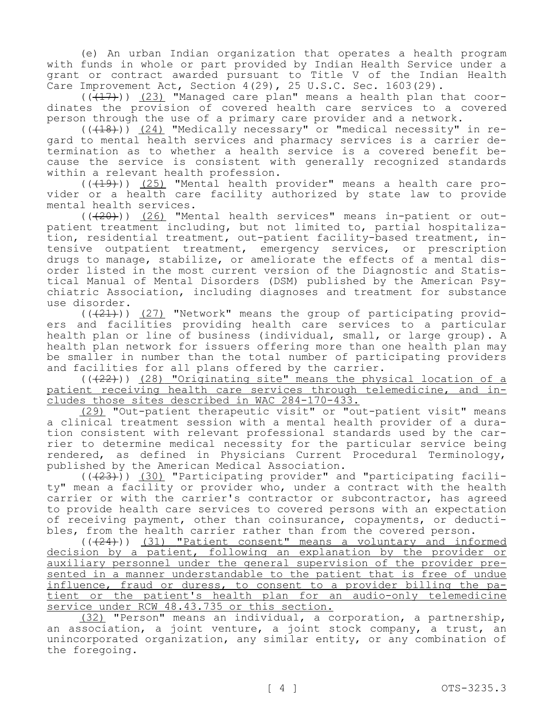(e) An urban Indian organization that operates a health program with funds in whole or part provided by Indian Health Service under a grant or contract awarded pursuant to Title V of the Indian Health Care Improvement Act, Section 4(29), 25 U.S.C. Sec. 1603(29).

 $(\overline{(+17)})$  (23) "Managed care plan" means a health plan that coordinates the provision of covered health care services to a covered person through the use of a primary care provider and a network.

gard to mental health services and pharmacy services is a carrier de-<br>termination as to whether a health service is a covered benefit be-<br>cause the service is consistent with generally recognized standards within a relevant health profession.

 $((+19))$  (25) "Mental health provider" means a health care provider or a health care facility authorized by state law to provide mental health services.

 $((+20))$  (26) "Mental health services" means in-patient or outpatient treatment including, but not limited to, partial hospitaliza-<br>tion, residential treatment, out-patient facility-based treatment, in-<br>tensive outpatient treatment, emergency services, or prescription<br>drugs to manage order listed in the most current version of the Diagnostic and Statis-<br>tical Manual of Mental Disorders (DSM) published by the American Psy-<br>chiatric Association, including diagnoses and treatment for substance use disorder.

 $((+21))$  (27) "Network" means the group of participating providers and facilities providing health care services to a particular health plan or line of business (individual, small, or large group). A health plan network for issuers offering more than one health plan may be smaller in number than the total number of participating providers and facilities for all plans offered by the carrier.

(( $(22)$ )) (28) "Originating site" means the physical location of a patient receiving health care services through telemedicine, and in-<br>cludes those sites described in WAC 284-170-433.

(29) "Out-patient therapeutic visit" or "out-patient visit" means<br>a clinical treatment session with a mental health provider of a duration consistent with relevant professional standards used by the car-<br>rier to determine medical necessity for the particular service being rendered, as defined in Physicians Current Procedural Terminology, published by the American Medical Association.

 $((+23)^{\circ})$  (30) "Participating provider" and "participating facility" mean a facility or provider who, under a contract with the health carrier or with the carrier's contractor or subcontractor, has agreed to provide health care services to covered persons with an expectation of receiving payment, other than coinsurance, copayments, or deducti-<br>bles, from the health carrier rather than from the covered person.

 (((24))) (31) "Patient consent" means a voluntary and informed decision by a patient, following an explanation by the provider or auxiliary personnel under the general supervision of the provider presented in a manner understandable to the patient that is free of undue influence, fraud or duress, to consent to a provider billing the patient or the patient's health plan for an audio-only telemedicine service under RCW 48.43.735 or this section.

(32) "Person" means an individual, a corporation, a partnership, an association, a joint venture, a joint stock company, a trust, an unincorporated organization, any similar entity, or any combination of the foregoing.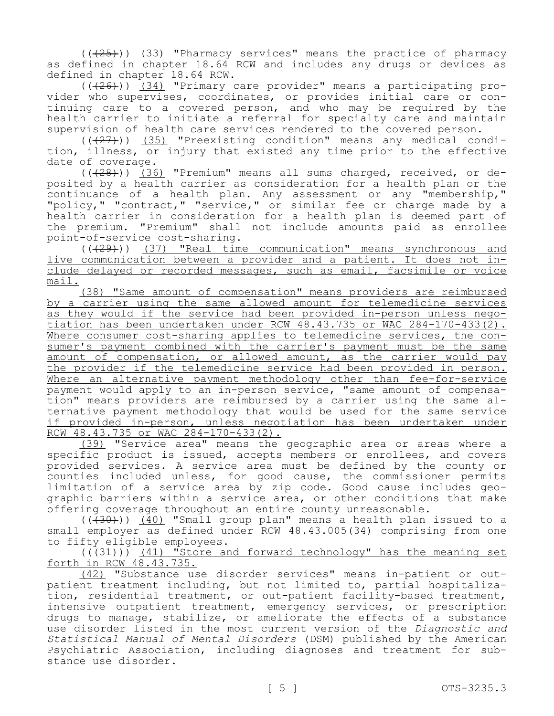$((+25))$   $(33)$  "Pharmacy services" means the practice of pharmacy as defined in chapter 18.64 RCW and includes any drugs or devices as defined in chapter 18.64 RCW.

 (((26))) (34) "Primary care provider" means a participating pro- vider who supervises, coordinates, or provides initial care or con- tinuing care to a covered person, and who may be required by the health carrier to initiate a referral for specialty care and maintain supervision of health care services rendered to the covered person.

 $((+27))$   $(35)$  "Preexisting condition" means any medical condition, illness, or injury that existed any time prior to the effective date of coverage.

(((28))) (36) "Premium" means all sums charged, received, or deposited by a health carrier as consideration for a health plan or the continuance of a health plan. Any assessment or any "membership," "policy," "contract," "service," or similar fee or charge made by a health carrier in consideration for a health plan is deemed part of the premium. "Premium" shall not include amounts paid as enrollee point-of-service cost-sharing.

(((29))) (37) "Real time communication" means synchronous and live communication between a provider and a patient. It does not in- clude delayed or recorded messages, such as email, facsimile or voice mail.

(38) "Same amount of compensation" means providers are reimbursed by a carrier using the same allowed amount for telemedicine services<br>as they would if the service had been provided in-person unless negotiation has been undertaken under RCW 48.43.735 or WAC 284-170-433(2).<br>Where consumer cost-sharing applies to telemedicine services, the consumer's payment combined with the carrier's payment must be the same amount of compensation, or allowed amount, as the carrier would pay the provider if the telemedicine service had been provided in person. Where an alternative payment methodology other than fee-for-service payment would apply to an in-person service, "same amount of compensa-<br>tion" means providers are reimbursed by a carrier using the same al-<br>ternative payment methodology that would be used for the same service if provided in-person, unless negotiation has been undertaken under RCW 48.43.735 or WAC 284-170-433(2).

(39) "Service area" means the geographic area or areas where a specific product is issued, accepts members or enrollees, and covers provided services. A service area must be defined by the county or counties included unless, for good cause, the commissioner permits limitation of a service area by zip code. Good cause includes geo-<br>graphic barriers within a service area, or other conditions that make offering coverage throughout an entire county unreasonable.

 $((+30))$   $(40)$  "Small group plan" means a health plan issued to a small employer as defined under RCW 48.43.005(34) comprising from one to fifty eligible employees.

 $((+31))$   $(41)$  "Store and forward technology" has the meaning set forth in RCW 48.43.735.

 *Statistical Manual of Mental Disorders* (DSM) published by the American (42) "Substance use disorder services" means in-patient or outpatient treatment including, but not limited to, partial hospitalization, residential treatment, or out-patient facility-based treatment, intensive outpatient treatment, emergency services, or prescription drugs to manage, stabilize, or ameliorate the effects of a substance use disorder listed in the most current version of the *Diagnostic and*  Psychiatric Association, including diagnoses and treatment for sub-<br>stance use disorder.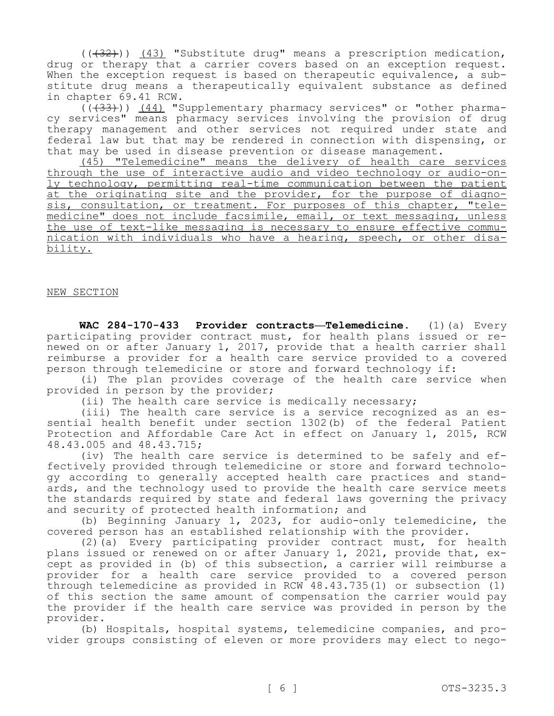$((+32))$   $(43)$  "Substitute drug" means a prescription medication, drug or therapy that a carrier covers based on an exception request.<br>When the exception request is based on therapeutic equivalence, a substitute drug means a therapeutically equivalent substance as defined in chapter 69.41 RCW.

(((33))) (44) "Supplementary pharmacy services" or "other pharmacy services" means pharmacy services involving the provision of drug therapy management and other services not required under state and federal law but that may be rendered in connection with dispensing, or that may be used in disease prevention or disease management.

(45) "Telemedicine" means the delivery of health care services through the use of interactive audio and video technology or audio-on-<br>ly technology, permitting real-time communication between the patient<br>at the originating site and the provider, for the purpose of diagnosis, consultation, or treatment. For purposes of this chapter, "tele-<br>medicine" does not include facsimile, email, or text messaging, unless the use of text-like messaging is necessary to ensure effective commu-<br>nication with individuals who have a hearing, speech, or other disa-<br>bility.

#### NEW SECTION

 **WAC 284-170-433 Provider contracts—Telemedicine.** (1)(a) Every participating provider contract must, for health plans issued or renewed on or after January 1, 2017, provide that a health carrier shall reimburse a provider for a health care service provided to a covered person through telemedicine or store and forward technology if:

(i) The plan provides coverage of the health care service when provided in person by the provider;

(ii) The health care service is medically necessary;

(iii) The health care service is a service recognized as an es- sential health benefit under section 1302(b) of the federal Patient Protection and Affordable Care Act in effect on January 1, 2015, RCW 48.43.005 and 48.43.715;

(iv) The health care service is determined to be safely and ef-<br>fectively provided through telemedicine or store and forward technolo-<br>gy according to generally accepted health care practices and stand-<br>ards, and the techn the standards required by state and federal laws governing the privacy and security of protected health information; and

(b) Beginning January 1, 2023, for audio-only telemedicine, the covered person has an established relationship with the provider.

(2)(a) Every participating provider contract must, for health plans issued or renewed on or after January 1, 2021, provide that, except as provided in (b) of this subsection, a carrier will reimburse a provider for a health care service provided to a covered person through telemedicine as provided in RCW 48.43.735(1) or subsection (1) of this section the same amount of compensation the carrier would pay the provider if the health care service was provided in person by the provider.

(b) Hospitals, hospital systems, telemedicine companies, and provider groups consisting of eleven or more providers may elect to nego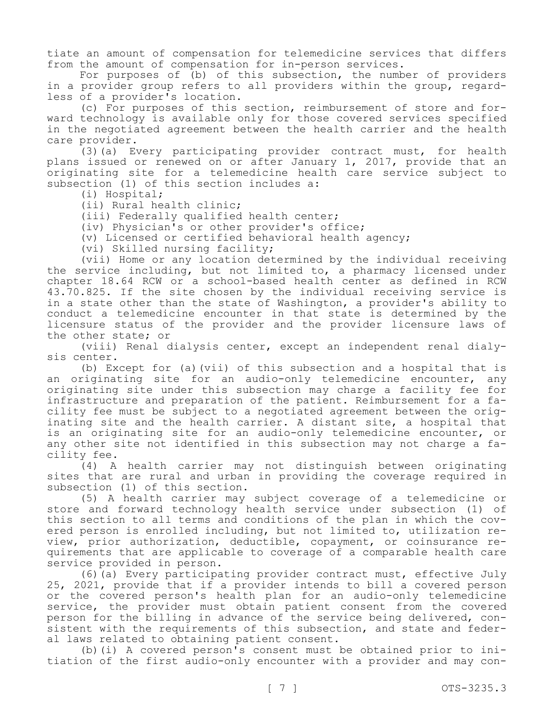tiate an amount of compensation for telemedicine services that differs from the amount of compensation for in-person services.

For purposes of (b) of this subsection, the number of providers in a provider group refers to all providers within the group, regard-<br>less of a provider's location.<br>(c) For purposes of this section, reimbursement of store and for-

ward technology is available only for those covered services specified in the negotiated agreement between the health carrier and the health care provider.

(3)(a) Every participating provider contract must, for health plans issued or renewed on or after January 1, 2017, provide that an originating site for a telemedicine health care service subject to subsection (1) of this section includes a:

(i) Hospital;

(ii) Rural health clinic;

(iii) Federally qualified health center;

(iv) Physician's or other provider's office;

(v) Licensed or certified behavioral health agency;

(vi) Skilled nursing facility;

(vii) Home or any location determined by the individual receiving the service including, but not limited to, a pharmacy licensed under chapter 18.64 RCW or a school-based health center as defined in RCW 43.70.825. If the site chosen by the individual receiving service is in a state other than the state of Washington, a provider's ability to conduct a telemedicine encounter in that state is determined by the licensure status of the provider and the provider licensure laws of the other state; or

(viii) Renal dialysis center, except an independent renal dialy- sis center.

(b) Except for (a)(vii) of this subsection and a hospital that is an originating site for an audio-only telemedicine encounter, any originating site under this subsection may charge a facility fee for<br>infrastructure and preparation of the patient. Reimbursement for a facility fee must be subject to a negotiated agreement between the orig-<br>inating site and the health carrier. A distant site, a hospital that is an originating site for an audio-only telemedicine encounter, or any other site not identified in this subsection may not charge a fa-<br>cility fee.

(4) A health carrier may not distinguish between originating sites that are rural and urban in providing the coverage required in subsection (1) of this section.

(5) A health carrier may subject coverage of a telemedicine or store and forward technology health service under subsection (1) of this section to all terms and conditions of the plan in which the cov-<br>ered person is enrolled including, but not limited to, utilization re-<br>view, prior authorization, deductible, copayment, or coinsurance requirements that are applicable to coverage of a comparable health care service provided in person.

(6)(a) Every participating provider contract must, effective July 25, 2021, provide that if a provider intends to bill a covered person or the covered person's health plan for an audio-only telemedicine service, the provider must obtain patient consent from the covered person for the billing in advance of the service being delivered, consistent with the requirements of this subsection, and state and feder-<br>al laws related to obtaining patient consent.<br>(b)(i) A covered person's consent must be obtained prior to ini-

tiation of the first audio-only encounter with a provider and may con-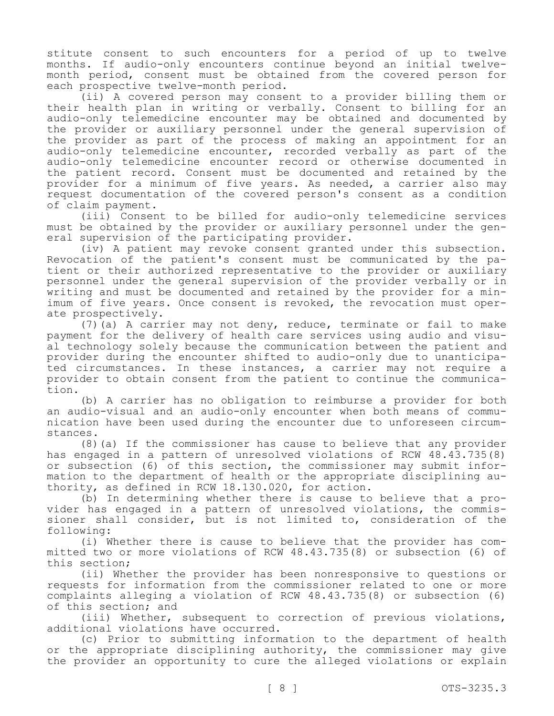stitute consent to such encounters for a period of up to twelve months. If audio-only encounters continue beyond an initial twelvemonth period, consent must be obtained from the covered person for each prospective twelve-month period.

(ii) A covered person may consent to a provider billing them or their health plan in writing or verbally. Consent to billing for an audio-only telemedicine encounter may be obtained and documented by the provider or auxiliary personnel under the general supervision of the provider as part of the process of making an appointment for an audio-only telemedicine encounter, recorded verbally as part of the audio-only telemedicine encounter record or otherwise documented in the patient record. Consent must be documented and retained by the provider for a minimum of five years. As needed, a carrier also may request documentation of the covered person's consent as a condition of claim payment.

(iii) Consent to be billed for audio-only telemedicine services must be obtained by the provider or auxiliary personnel under the general supervision of the participating provider.

(iv) A patient may revoke consent granted under this subsection. Revocation of the patient's consent must be communicated by the patient or their authorized representative to the provider or auxiliary personnel under the general supervision of the provider verbally or in writing and must be documented and retained by the provider for a minimum of five years. Once consent is revoked, the revocation must operate prospectively.

(7)(a) A carrier may not deny, reduce, terminate or fail to make payment for the delivery of health care services using audio and visual technology solely because the communication between the patient and provider during the encounter shifted to audio-only due to unanticipated circumstances. In these instances, a carrier may not require a provider to obtain consent from the patient to continue the communication.

(b) A carrier has no obligation to reimburse a provider for both an audio-visual and an audio-only encounter when both means of communication have been used during the encounter due to unforeseen circumstances.

(8)(a) If the commissioner has cause to believe that any provider has engaged in a pattern of unresolved violations of RCW 48.43.735(8) or subsection (6) of this section, the commissioner may submit information to the department of health or the appropriate disciplining authority, as defined in RCW 18.130.020, for action.

(b) In determining whether there is cause to believe that a provider has engaged in a pattern of unresolved violations, the commissioner shall consider, but is not limited to, consideration of the following:<br>(i) Whether there is cause to believe that the provider has com-

mitted two or more violations of RCW  $48.43.735(8)$  or subsection (6) of this section;

(ii) Whether the provider has been nonresponsive to questions or requests for information from the commissioner related to one or more complaints alleging a violation of RCW 48.43.735(8) or subsection (6) of this section; and

(iii) Whether, subsequent to correction of previous violations, additional violations have occurred.

(c) Prior to submitting information to the department of health or the appropriate disciplining authority, the commissioner may give the provider an opportunity to cure the alleged violations or explain